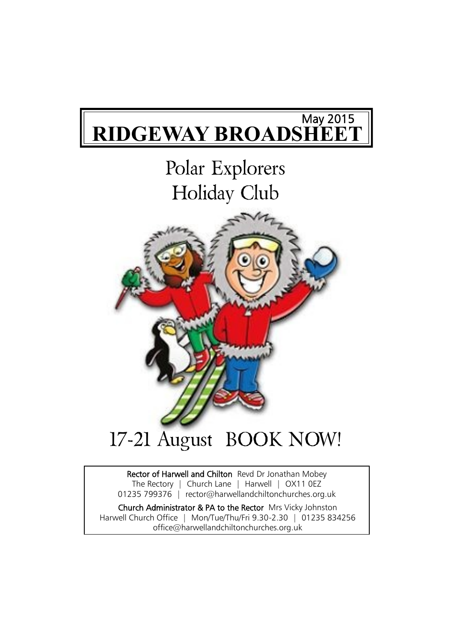## **RIDGEWAY BROADSHEET** May 2015

# Polar Explorers Holiday Club



# Rector of Harwell and Chilton Revd Dr Jonathan Mobey

The Rectory | Church Lane | Harwell | OX11 0EZ 01235 799376 | rector@harwellandchiltonchurches.org.uk

Church Administrator & PA to the Rector Mrs Vicky Johnston Harwell Church Office | Mon/Tue/Thu/Fri 9.30-2.30 | 01235 834256 office@harwellandchiltonchurches.org.uk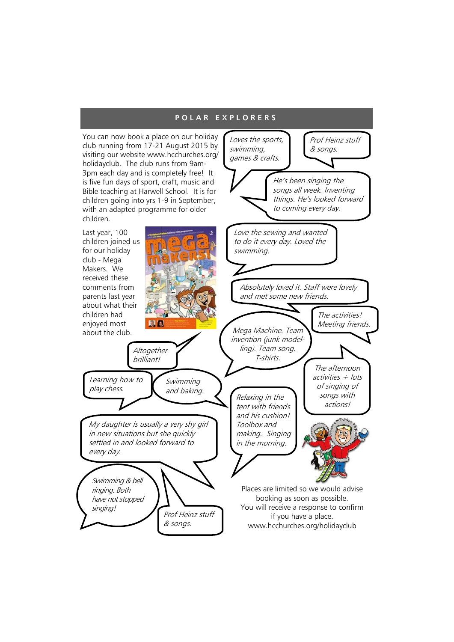#### **P O L A R E X P L O R E R S**

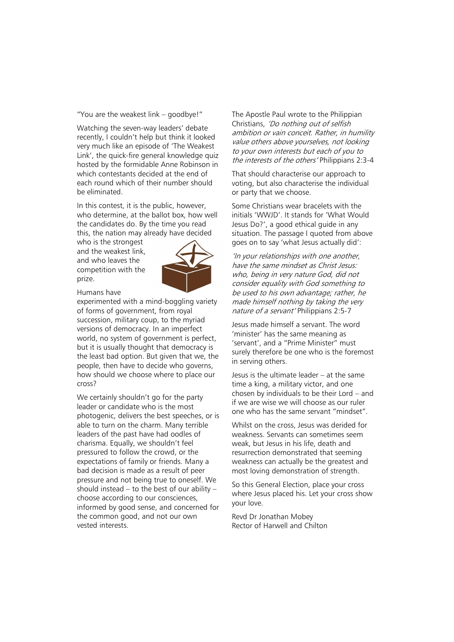"You are the weakest link – goodbye!"

Watching the seven-way leaders' debate recently, I couldn't help but think it looked very much like an episode of 'The Weakest Link', the quick-fire general knowledge quiz hosted by the formidable Anne Robinson in which contestants decided at the end of each round which of their number should be eliminated.

In this contest, it is the public, however, who determine, at the ballot box, how well the candidates do. By the time you read this, the nation may already have decided

who is the strongest and the weakest link, and who leaves the competition with the prize.



Humans have

experimented with a mind-boggling variety of forms of government, from royal succession, military coup, to the myriad versions of democracy. In an imperfect world, no system of government is perfect, but it is usually thought that democracy is the least bad option. But given that we, the people, then have to decide who governs, how should we choose where to place our cross?

We certainly shouldn't go for the party leader or candidate who is the most photogenic, delivers the best speeches, or is able to turn on the charm. Many terrible leaders of the past have had oodles of charisma. Equally, we shouldn't feel pressured to follow the crowd, or the expectations of family or friends. Many a bad decision is made as a result of peer pressure and not being true to oneself. We should instead – to the best of our ability – choose according to our consciences, informed by good sense, and concerned for the common good, and not our own vested interests.

The Apostle Paul wrote to the Philippian Christians, 'Do nothing out of selfish ambition or vain conceit. Rather, in humility value others above yourselves, not looking to your own interests but each of you to the interests of the others' Philippians 2:3-4

That should characterise our approach to voting, but also characterise the individual or party that we choose.

Some Christians wear bracelets with the initials 'WWJD'. It stands for 'What Would Jesus Do?', a good ethical guide in any situation. The passage I quoted from above goes on to say 'what Jesus actually did':

'In your relationships with one another, have the same mindset as Christ Jesus: who, being in very nature God, did not consider equality with God something to be used to his own advantage; rather, he made himself nothing by taking the very nature of a servant' Philippians 2:5-7

Jesus made himself a servant. The word 'minister' has the same meaning as 'servant', and a "Prime Minister" must surely therefore be one who is the foremost in serving others.

Jesus is the ultimate leader – at the same time a king, a military victor, and one chosen by individuals to be their Lord – and if we are wise we will choose as our ruler one who has the same servant "mindset".

Whilst on the cross, Jesus was derided for weakness. Servants can sometimes seem weak, but Jesus in his life, death and resurrection demonstrated that seeming weakness can actually be the greatest and most loving demonstration of strength.

So this General Election, place your cross where Jesus placed his. Let your cross show your love.

Revd Dr Jonathan Mobey Rector of Harwell and Chilton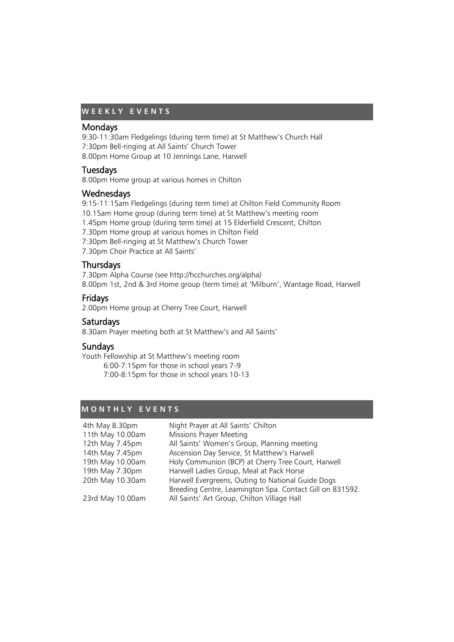### **W E E K L Y E V E N T S**

#### Mondays

9:30-11:30am Fledgelings (during term time) at St Matthew's Church Hall 7:30pm Bell-ringing at All Saints' Church Tower 8.00pm Home Group at 10 Jennings Lane, Harwell

#### Tuesdays

8.00pm Home group at various homes in Chilton

#### **Wednesdays**

9:15-11:15am Fledgelings (during term time) at Chilton Field Community Room 10.15am Home group (during term time) at St Matthew's meeting room 1.45pm Home group (during term time) at 15 Elderfield Crescent, Chilton 7.30pm Home group at various homes in Chilton Field 7:30pm Bell-ringing at St Matthew's Church Tower 7.30pm Choir Practice at All Saints'

#### **Thursdays**

7.30pm Alpha Course (see http://hcchurches.org/alpha) 8.00pm 1st, 2nd & 3rd Home group (term time) at 'Milburn', Wantage Road, Harwell

#### Fridays

2.00pm Home group at Cherry Tree Court, Harwell

#### **Saturdays**

8.30am Prayer meeting both at St Matthew's and All Saints'

#### Sundays

Youth Fellowship at St Matthew's meeting room 6:00-7:15pm for those in school years 7-9 7:00-8:15pm for those in school years 10-13

#### **M O N T H L Y E V E N T S**

| 4th May 8.30pm   | Night Prayer at All Saints' Chilton                      |
|------------------|----------------------------------------------------------|
| 11th May 10.00am | Missions Prayer Meeting                                  |
| 12th May 7.45pm  | All Saints' Women's Group, Planning meeting              |
| 14th May 7.45pm  | Ascension Day Service, St Matthew's Harwell              |
| 19th May 10.00am | Holy Communion (BCP) at Cherry Tree Court, Harwell       |
| 19th May 7.30pm  | Harwell Ladies Group, Meal at Pack Horse                 |
| 20th May 10.30am | Harwell Evergreens, Outing to National Guide Dogs        |
|                  | Breeding Centre, Leamington Spa. Contact Gill on 831592. |
| 23rd May 10.00am | All Saints' Art Group, Chilton Village Hall              |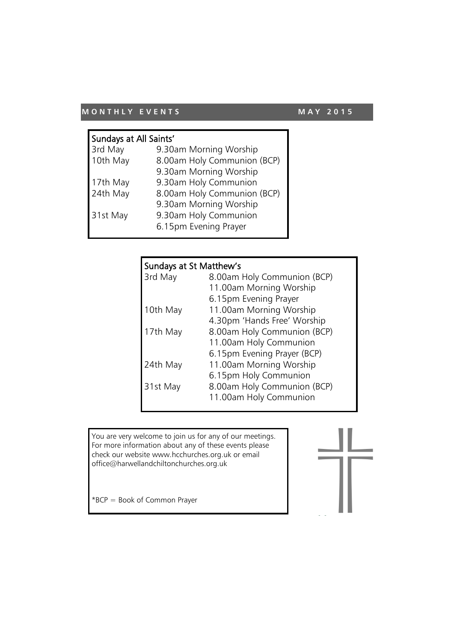## **M ON THLY EVENTS** M AY 2015

| Sundays at All Saints' |                             |  |
|------------------------|-----------------------------|--|
| 3rd May                | 9.30am Morning Worship      |  |
| 10th May               | 8.00am Holy Communion (BCP) |  |
|                        | 9.30am Morning Worship      |  |
| 17th May               | 9.30am Holy Communion       |  |
| 24th May               | 8.00am Holy Communion (BCP) |  |
|                        | 9.30am Morning Worship      |  |
| 31st May               | 9.30am Holy Communion       |  |
|                        | 6.15pm Evening Prayer       |  |
|                        |                             |  |

| Sundays at St Matthew's |                             |  |
|-------------------------|-----------------------------|--|
| 3rd May                 | 8.00am Holy Communion (BCP) |  |
|                         | 11.00am Morning Worship     |  |
|                         | 6.15pm Evening Prayer       |  |
| 10th May                | 11.00am Morning Worship     |  |
|                         | 4.30pm 'Hands Free' Worship |  |
| 17th May                | 8.00am Holy Communion (BCP) |  |
|                         | 11.00am Holy Communion      |  |
|                         | 6.15pm Evening Prayer (BCP) |  |
| 24th May                | 11.00am Morning Worship     |  |
|                         | 6.15pm Holy Communion       |  |
| 31st May                | 8.00am Holy Communion (BCP) |  |
|                         | 11.00am Holy Communion      |  |

You are very welcome to join us for any of our meetings. For more information about any of these events please check our website www.hcchurches.org.uk or email office@harwellandchiltonchurches.org.uk

\*BCP = Book of Common Prayer

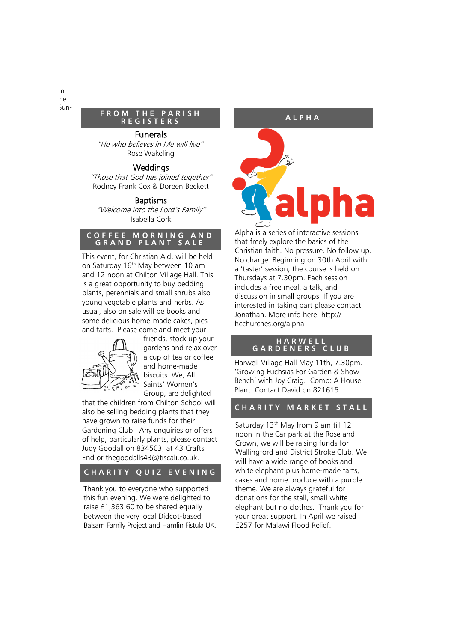#### **FROM THE PARISH R E G I S T E R S**

#### Funerals

"He who believes in Me will live" Rose Wakeling

#### Weddings

"Those that God has joined together" Rodney Frank Cox & Doreen Beckett

#### Baptisms

"Welcome into the Lord's Family" Isabella Cork

#### **C O F F E E M O R N I N G A N D G R A N D P L A N T S A L E**

This event, for Christian Aid, will be held on Saturday 16<sup>th</sup> May between 10 am and 12 noon at Chilton Village Hall. This is a great opportunity to buy bedding plants, perennials and small shrubs also young vegetable plants and herbs. As usual, also on sale will be books and some delicious home-made cakes, pies and tarts. Please come and meet your



friends, stock up your gardens and relax over a cup of tea or coffee and home-made biscuits. We, All Saints' Women's Group, are delighted

that the children from Chilton School will also be selling bedding plants that they have grown to raise funds for their Gardening Club. Any enquiries or offers of help, particularly plants, please contact Judy Goodall on 834503, at 43 Crafts End or thegoodalls43@tiscali.co.uk.

#### **CHARITY QUIZ EVENING**

Thank you to everyone who supported this fun evening. We were delighted to raise £1,363.60 to be shared equally between the very local Didcot-based Balsam Family Project and Hamlin Fistula UK. **A L P H A**



Alpha is a series of interactive sessions that freely explore the basics of the Christian faith. No pressure. No follow up. No charge. Beginning on 30th April with a 'taster' session, the course is held on Thursdays at 7.30pm. Each session includes a free meal, a talk, and discussion in small groups. If you are interested in taking part please contact Jonathan. More info here: http:// hcchurches.org/alpha

#### **H A R W E L L G A R D E N E R S C L U B**

Harwell Village Hall May 11th, 7.30pm. 'Growing Fuchsias For Garden & Show Bench' with Joy Craig. Comp: A House Plant. Contact David on 821615.

#### **C H A R I T Y M A R K E T S T A L L**

Saturday 13<sup>th</sup> May from 9 am till 12 noon in the Car park at the Rose and Crown, we will be raising funds for Wallingford and District Stroke Club. We will have a wide range of books and white elephant plus home-made tarts, cakes and home produce with a purple theme. We are always grateful for donations for the stall, small white elephant but no clothes. Thank you for your great support. In April we raised £257 for Malawi Flood Relief.

Publicise just the Chilton churchwarden elections (because Chilton's is on 22 March). Use the wording in Jonathan's email below, but preceded by the heading "Chilton parish residents" and with a note after the item saying "Harwell parish residents will get the equivalent opportunity to vote for churchwardens on Sun-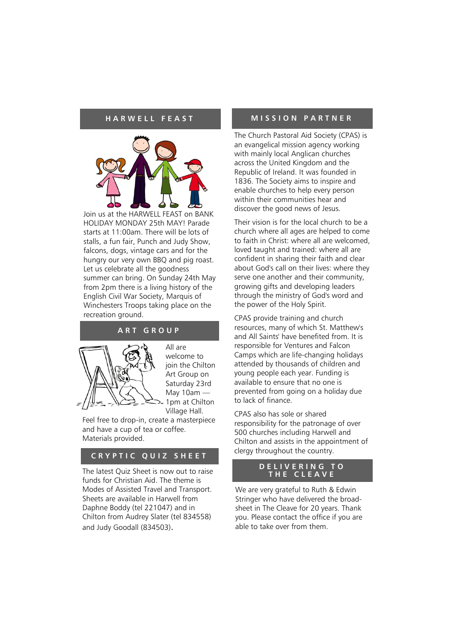

Join us at the HARWELL FEAST on BANK HOLIDAY MONDAY 25th MAY! Parade starts at 11:00am. There will be lots of stalls, a fun fair, Punch and Judy Show, falcons, dogs, vintage cars and for the hungry our very own BBQ and pig roast. Let us celebrate all the goodness summer can bring. On Sunday 24th May from 2pm there is a living history of the English Civil War Society, Marquis of Winchesters Troops taking place on the recreation ground.

#### **A R T G R O U P**



All are welcome to join the Chilton Art Group on Saturday 23rd May  $10am -$ 1pm at Chilton Village Hall.

Feel free to drop-in, create a masterpiece and have a cup of tea or coffee. Materials provided.

#### **CRYPTIC QUIZ SHEET**

The latest Quiz Sheet is now out to raise funds for Christian Aid. The theme is Modes of Assisted Travel and Transport. Sheets are available in Harwell from Daphne Boddy (tel 221047) and in Chilton from Audrey Slater (tel 834558) and Judy Goodall (834503).

#### **H A R W E L L F E A S T M I S S I O N P A R T N E R**

The Church Pastoral Aid Society (CPAS) is an evangelical mission agency working with mainly local Anglican churches across the United Kingdom and the Republic of Ireland. It was founded in 1836. The Society aims to inspire and enable churches to help every person within their communities hear and discover the good news of Jesus.

Their vision is for the local church to be a church where all ages are helped to come to faith in Christ: where all are welcomed, loved taught and trained: where all are confident in sharing their faith and clear about God's call on their lives: where they serve one another and their community, growing gifts and developing leaders through the ministry of God's word and the power of the Holy Spirit.

CPAS provide training and church resources, many of which St. Matthew's and All Saints' have benefited from. It is responsible for Ventures and Falcon Camps which are life-changing holidays attended by thousands of children and young people each year. Funding is available to ensure that no one is prevented from going on a holiday due to lack of finance.

CPAS also has sole or shared responsibility for the patronage of over 500 churches including Harwell and Chilton and assists in the appointment of clergy throughout the country.

#### **D E L I V E R I N G T O T H E C L E A V E**

We are very grateful to Ruth & Edwin Stringer who have delivered the broadsheet in The Cleave for 20 years. Thank you. Please contact the office if you are able to take over from them.